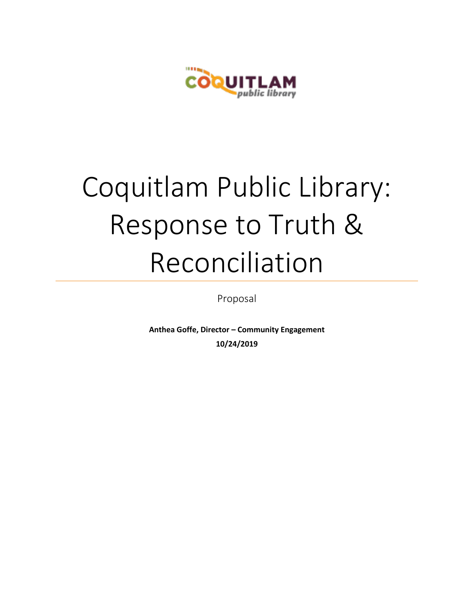

# Coquitlam Public Library: Response to Truth & Reconciliation

Proposal

**Anthea Goffe, Director – Community Engagement 10/24/2019**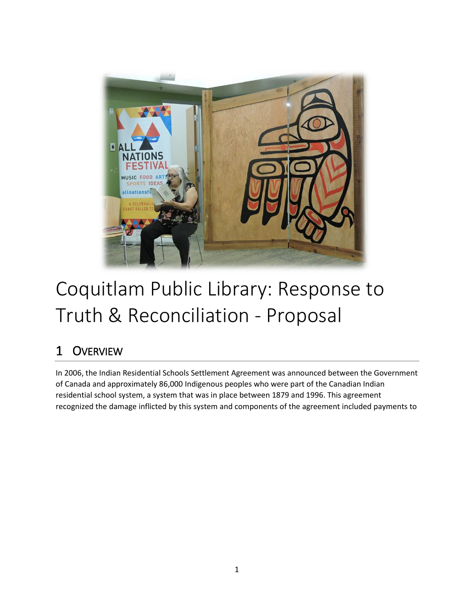

# Coquitlam Public Library: Response to Truth & Reconciliation - Proposal

# 1 OVERVIEW

In 2006, the Indian Residential Schools Settlement Agreement was announced between the Government of Canada and approximately 86,000 Indigenous peoples who were part of the Canadian Indian residential school system, a system that was in place between 1879 and 1996. This agreement recognized the damage inflicted by this system and components of the agreement included payments to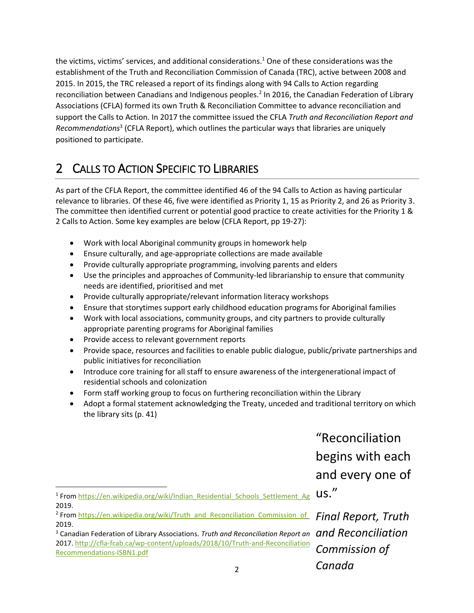the victims, victims' services, and additional considerations.<sup>1</sup> One of these considerations was the establishment of the Truth and Reconciliation Commission of Canada (TRC), active between 2008 and 2015. In 2015, the TRC released a report of its findings along with 94 Calls to Action regarding reconciliation between Canadians and Indigenous peoples.<sup>2</sup> In 2016, the Canadian Federation of Library Associations (CFLA) formed its own Truth & Reconciliation Committee to advance reconciliation and support the Calls to Action. In 2017 the committee issued the CFLA *Truth and Reconciliation Report and Recommendations*<sup>3</sup> (CFLA Report), which outlines the particular ways that libraries are uniquely positioned to participate.

# 2 CALLS TO ACTION SPECIFIC TO LIBRARIES

As part of the CFLA Report, the committee identified 46 of the 94 Calls to Action as having particular relevance to libraries. Of these 46, five were identified as Priority 1, 15 as Priority 2, and 26 as Priority 3. The committee then identified current or potential good practice to create activities for the Priority 1 & 2 Calls to Action. Some key examples are below (CFLA Report, pp 19-27):

- Work with local Aboriginal community groups in homework help
- Ensure culturally, and age-appropriate collections are made available
- Provide culturally appropriate programming, involving parents and elders
- Use the principles and approaches of Community-led librarianship to ensure that community needs are identified, prioritised and met
- Provide culturally appropriate/relevant information literacy workshops
- Ensure that storytimes support early childhood education programs for Aboriginal families
- Work with local associations, community groups, and city partners to provide culturally appropriate parenting programs for Aboriginal families
- Provide access to relevant government reports
- Provide space, resources and facilities to enable public dialogue, public/private partnerships and public initiatives for reconciliation
- Introduce core training for all staff to ensure awareness of the intergenerational impact of residential schools and colonization
- Form staff working group to focus on furthering reconciliation within the Library
- Adopt a formal statement acknowledging the Treaty, unceded and traditional territory on which the library sits (p. 41)

"Reconciliation begins with each and every one of us."

*Commission of* 

*Canada*

 $\overline{\phantom{a}}$ <sup>1</sup> From https://en.wikipedia.org/wiki/Indian\_Residential\_Schools\_Settlement\_Ag \US. 2019.

<sup>&</sup>lt;sup>2</sup> From <u>https://en.wikipedia.org/wiki/Truth\_and\_Reconciliation\_Commission\_of\_\_Final Report, Truth *i*</u> 2019.

<sup>&</sup>lt;sup>3</sup> Canadian Federation of Library Associations. *Truth and Reconciliation Report an*  $\,$  and  $\,$  Reconciliation 2017. http://cfla-fcab.ca/wp-content/uploads/2018/10/Truth-and-Reconciliation [Recommendations-ISBN1.pdf](http://cfla-fcab.ca/wp-content/uploads/2018/10/Truth-and-Reconciliation-Committee-Report-and-Recommendations-ISBN1.pdf)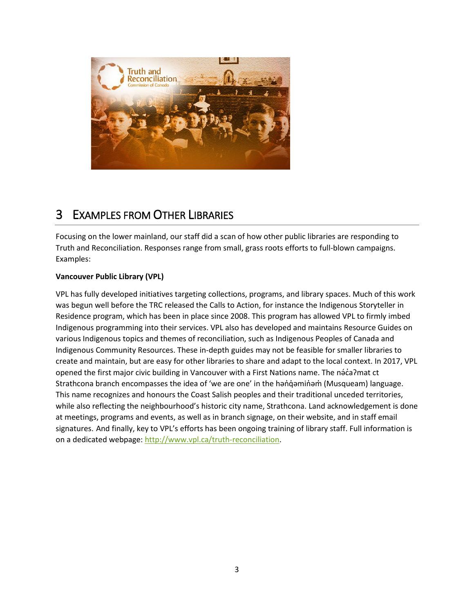

# 3 EXAMPLES FROM OTHER LIBRARIES

Focusing on the lower mainland, our staff did a scan of how other public libraries are responding to Truth and Reconciliation. Responses range from small, grass roots efforts to full-blown campaigns. Examples:

#### **Vancouver Public Library (VPL)**

VPL has fully developed initiatives targeting collections, programs, and library spaces. Much of this work was begun well before the TRC released the Calls to Action, for instance the Indigenous Storyteller in Residence program, which has been in place since 2008. This program has allowed VPL to firmly imbed Indigenous programming into their services. VPL also has developed and maintains Resource Guides on various Indigenous topics and themes of reconciliation, such as Indigenous Peoples of Canada and Indigenous Community Resources. These in-depth guides may not be feasible for smaller libraries to create and maintain, but are easy for other libraries to share and adapt to the local context. In 2017, VPL opened the first major civic building in Vancouver with a First Nations name. The naca? mat ct Strathcona branch encompasses the idea of 'we are one' in the hən̓q̓əmin̓əm̓ (Musqueam) language. This name recognizes and honours the Coast Salish peoples and their traditional unceded territories, while also reflecting the neighbourhood's historic city name, Strathcona. Land acknowledgement is done at meetings, programs and events, as well as in branch signage, on their website, and in staff email signatures. And finally, key to VPL's efforts has been ongoing training of library staff. Full information is on a dedicated webpage: [http://www.vpl.ca/truth-reconciliation.](http://www.vpl.ca/truth-reconciliation)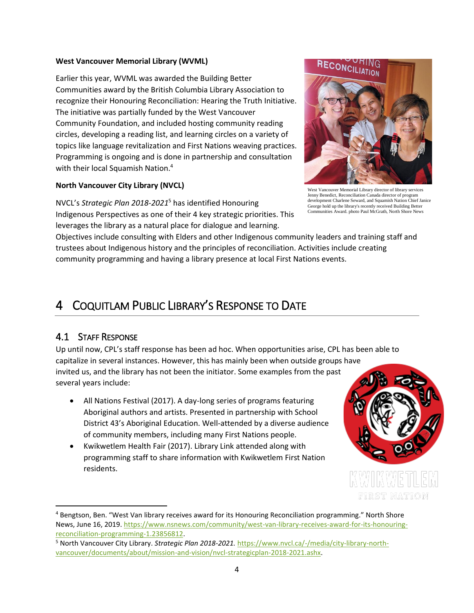#### **West Vancouver Memorial Library (WVML)**

Earlier this year, WVML was awarded the Building Better Communities award by the British Columbia Library Association to recognize their Honouring Reconciliation: Hearing the Truth Initiative. The initiative was partially funded by the West Vancouver Community Foundation, and included hosting community reading circles, developing a reading list, and learning circles on a variety of topics like language revitalization and First Nations weaving practices. Programming is ongoing and is done in partnership and consultation with their local Squamish Nation.<sup>4</sup>

#### **North Vancouver City Library (NVCL)**

NVCL's *Strategic Plan 2018-2021*<sup>5</sup> has identified Honouring Indigenous Perspectives as one of their 4 key strategic priorities. This leverages the library as a natural place for dialogue and learning.

Objectives include consulting with Elders and other Indigenous community leaders and training staff and trustees about Indigenous history and the principles of reconciliation. Activities include creating community programming and having a library presence at local First Nations events.

### 4 COQUITLAM PUBLIC LIBRARY'S RESPONSE TO DATE

#### 4.1 STAFF RESPONSE

 $\overline{\phantom{a}}$ 

Up until now, CPL's staff response has been ad hoc. When opportunities arise, CPL has been able to capitalize in several instances. However, this has mainly been when outside groups have invited us, and the library has not been the initiator. Some examples from the past several years include:

- All Nations Festival (2017). A day-long series of programs featuring Aboriginal authors and artists. Presented in partnership with School District 43's Aboriginal Education. Well-attended by a diverse audience of community members, including many First Nations people.
- Kwikwetlem Health Fair (2017). Library Link attended along with programming staff to share information with Kwikwetlem First Nation residents.





West Vancouver Memorial Library director of library services Jenny Benedict, Reconciliation Canada director of program development Charlene Seward, and Squamish Nation Chief Janice George hold up the library's recently received Building Better Communities Award. photo Paul McGrath, North Shore News

<sup>4</sup> Bengtson, Ben. "West Van library receives award for its Honouring Reconciliation programming." North Shore News, June 16, 2019. [https://www.nsnews.com/community/west-van-library-receives-award-for-its-honouring](https://www.nsnews.com/community/west-van-library-receives-award-for-its-honouring-reconciliation-programming-1.23856812)[reconciliation-programming-1.23856812.](https://www.nsnews.com/community/west-van-library-receives-award-for-its-honouring-reconciliation-programming-1.23856812)

<sup>5</sup> North Vancouver City Library. *Strategic Plan 2018-2021.* [https://www.nvcl.ca/-/media/city-library-north](https://www.nvcl.ca/-/media/city-library-north-vancouver/documents/about/mission-and-vision/nvcl-strategicplan-2018-2021.ashx)[vancouver/documents/about/mission-and-vision/nvcl-strategicplan-2018-2021.ashx.](https://www.nvcl.ca/-/media/city-library-north-vancouver/documents/about/mission-and-vision/nvcl-strategicplan-2018-2021.ashx)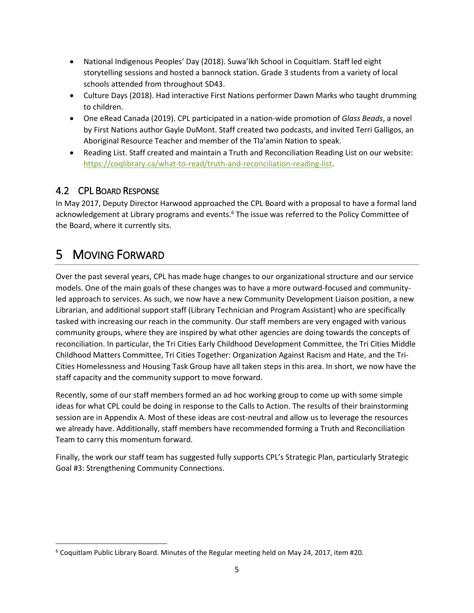- National Indigenous Peoples' Day (2018). Suwa'lkh School in Coquitlam. Staff led eight storytelling sessions and hosted a bannock station. Grade 3 students from a variety of local schools attended from throughout SD43.
- Culture Days (2018). Had interactive First Nations performer Dawn Marks who taught drumming to children.
- One eRead Canada (2019). CPL participated in a nation-wide promotion of *Glass Beads*, a novel by First Nations author Gayle DuMont. Staff created two podcasts, and invited Terri Galligos, an Aboriginal Resource Teacher and member of the Tla'amin Nation to speak.
- Reading List. Staff created and maintain a Truth and Reconciliation Reading List on our website: [https://coqlibrary.ca/what-to-read/truth-and-reconciliation-reading-list.](https://coqlibrary.ca/what-to-read/truth-and-reconciliation-reading-list)

#### 4.2 CPL BOARD RESPONSE

In May 2017, Deputy Director Harwood approached the CPL Board with a proposal to have a formal land acknowledgement at Library programs and events.<sup>6</sup> The issue was referred to the Policy Committee of the Board, where it currently sits.

# 5 MOVING FORWARD

 $\overline{\phantom{a}}$ 

Over the past several years, CPL has made huge changes to our organizational structure and our service models. One of the main goals of these changes was to have a more outward-focused and communityled approach to services. As such, we now have a new Community Development Liaison position, a new Librarian, and additional support staff (Library Technician and Program Assistant) who are specifically tasked with increasing our reach in the community. Our staff members are very engaged with various community groups, where they are inspired by what other agencies are doing towards the concepts of reconciliation. In particular, the Tri Cities Early Childhood Development Committee, the Tri Cities Middle Childhood Matters Committee, Tri Cities Together: Organization Against Racism and Hate, and the Tri-Cities Homelessness and Housing Task Group have all taken steps in this area. In short, we now have the staff capacity and the community support to move forward.

Recently, some of our staff members formed an ad hoc working group to come up with some simple ideas for what CPL could be doing in response to the Calls to Action. The results of their brainstorming session are in Appendix A. Most of these ideas are cost-neutral and allow us to leverage the resources we already have. Additionally, staff members have recommended forming a Truth and Reconciliation Team to carry this momentum forward.

Finally, the work our staff team has suggested fully supports CPL's Strategic Plan, particularly Strategic Goal #3: Strengthening Community Connections.

<sup>6</sup> Coquitlam Public Library Board. Minutes of the Regular meeting held on May 24, 2017, item #20.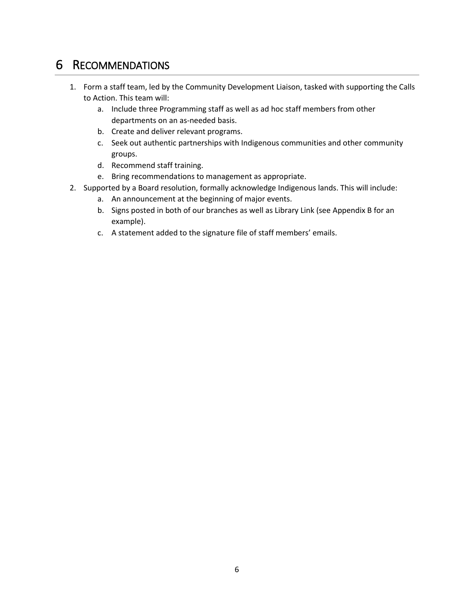### 6 RECOMMENDATIONS

- 1. Form a staff team, led by the Community Development Liaison, tasked with supporting the Calls to Action. This team will:
	- a. Include three Programming staff as well as ad hoc staff members from other departments on an as-needed basis.
	- b. Create and deliver relevant programs.
	- c. Seek out authentic partnerships with Indigenous communities and other community groups.
	- d. Recommend staff training.
	- e. Bring recommendations to management as appropriate.
- 2. Supported by a Board resolution, formally acknowledge Indigenous lands. This will include:
	- a. An announcement at the beginning of major events.
	- b. Signs posted in both of our branches as well as Library Link (see Appendix B for an example).
	- c. A statement added to the signature file of staff members' emails.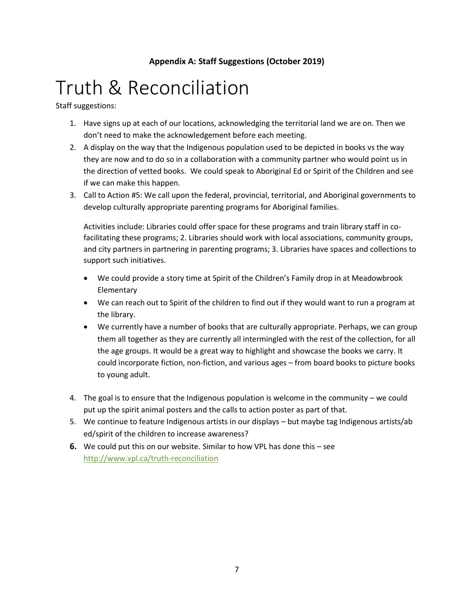#### **Appendix A: Staff Suggestions (October 2019)**

# Truth & Reconciliation

Staff suggestions:

- 1. Have signs up at each of our locations, acknowledging the territorial land we are on. Then we don't need to make the acknowledgement before each meeting.
- 2. A display on the way that the Indigenous population used to be depicted in books vs the way they are now and to do so in a collaboration with a community partner who would point us in the direction of vetted books. We could speak to Aboriginal Ed or Spirit of the Children and see if we can make this happen.
- 3. Call to Action #5: We call upon the federal, provincial, territorial, and Aboriginal governments to develop culturally appropriate parenting programs for Aboriginal families.

Activities include: Libraries could offer space for these programs and train library staff in cofacilitating these programs; 2. Libraries should work with local associations, community groups, and city partners in partnering in parenting programs; 3. Libraries have spaces and collections to support such initiatives.

- We could provide a story time at Spirit of the Children's Family drop in at Meadowbrook **Elementary**
- We can reach out to Spirit of the children to find out if they would want to run a program at the library.
- We currently have a number of books that are culturally appropriate. Perhaps, we can group them all together as they are currently all intermingled with the rest of the collection, for all the age groups. It would be a great way to highlight and showcase the books we carry. It could incorporate fiction, non-fiction, and various ages – from board books to picture books to young adult.
- 4. The goal is to ensure that the Indigenous population is welcome in the community we could put up the spirit animal posters and the calls to action poster as part of that.
- 5. We continue to feature Indigenous artists in our displays but maybe tag Indigenous artists/ab ed/spirit of the children to increase awareness?
- **6.** We could put this on our website. Similar to how VPL has done this see <http://www.vpl.ca/truth-reconciliation>